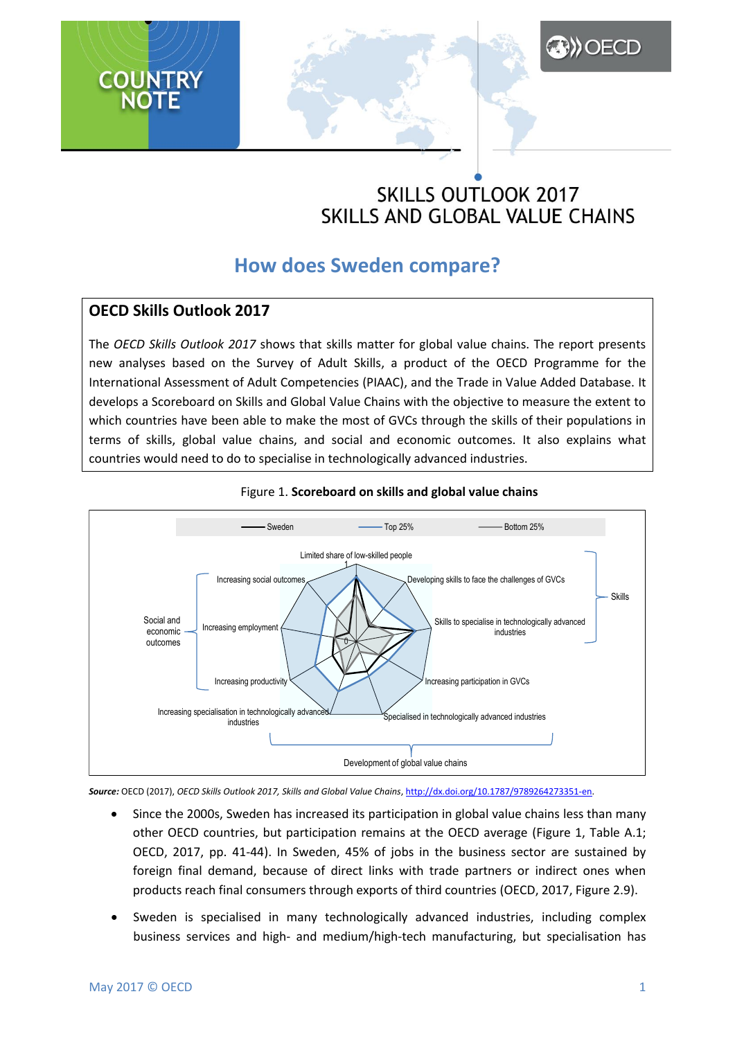# **SKILLS OUTLOOK 2017** SKILLS AND GLOBAL VALUE CHAINS

**A)) OECD** 

## **How does Sweden compare?**

## **OECD Skills Outlook 2017**

The *OECD Skills Outlook 2017* shows that skills matter for global value chains. The report presents new analyses based on the Survey of Adult Skills, a product of the OECD Programme for the International Assessment of Adult Competencies (PIAAC), and the Trade in Value Added Database. It develops a Scoreboard on Skills and Global Value Chains with the objective to measure the extent to which countries have been able to make the most of GVCs through the skills of their populations in terms of skills, global value chains, and social and economic outcomes. It also explains what countries would need to do to specialise in technologically advanced industries.





*Source:* OECD (2017), *OECD Skills Outlook 2017, Skills and Global Value Chains*, [http://dx.doi.org/10.1787/9789264273351-en.](http://dx.doi.org/10.1787/9789264273351-en)

- Since the 2000s, Sweden has increased its participation in global value chains less than many other OECD countries, but participation remains at the OECD average (Figure 1, Table A.1; OECD, 2017, pp. 41-44). In Sweden, 45% of jobs in the business sector are sustained by foreign final demand, because of direct links with trade partners or indirect ones when products reach final consumers through exports of third countries (OECD, 2017, Figure 2.9).
- Sweden is specialised in many technologically advanced industries, including complex business services and high- and medium/high-tech manufacturing, but specialisation has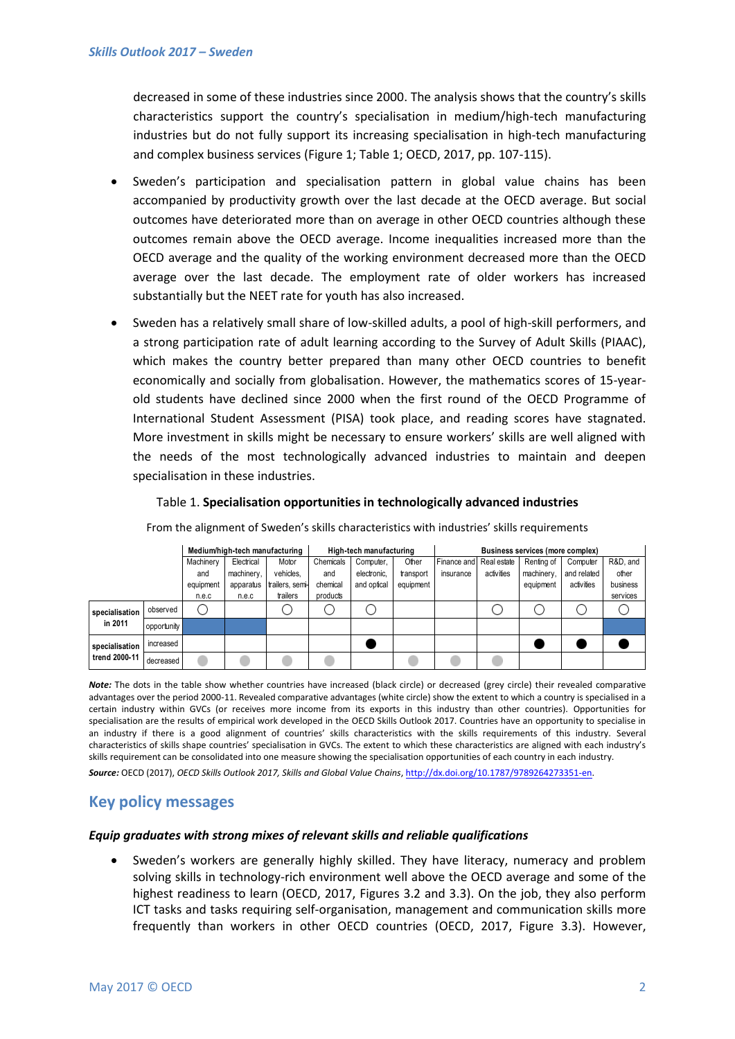decreased in some of these industries since 2000. The analysis shows that the country's skills characteristics support the country's specialisation in medium/high-tech manufacturing industries but do not fully support its increasing specialisation in high-tech manufacturing and complex business services (Figure 1; Table 1; OECD, 2017, pp. 107-115).

- Sweden's participation and specialisation pattern in global value chains has been accompanied by productivity growth over the last decade at the OECD average. But social outcomes have deteriorated more than on average in other OECD countries although these outcomes remain above the OECD average. Income inequalities increased more than the OECD average and the quality of the working environment decreased more than the OECD average over the last decade. The employment rate of older workers has increased substantially but the NEET rate for youth has also increased.
- Sweden has a relatively small share of low-skilled adults, a pool of high-skill performers, and a strong participation rate of adult learning according to the Survey of Adult Skills (PIAAC), which makes the country better prepared than many other OECD countries to benefit economically and socially from globalisation. However, the mathematics scores of 15-yearold students have declined since 2000 when the first round of the OECD Programme of International Student Assessment (PISA) took place, and reading scores have stagnated. More investment in skills might be necessary to ensure workers' skills are well aligned with the needs of the most technologically advanced industries to maintain and deepen specialisation in these industries.

|                                 |             | Medium/high-tech manufacturing |            |                 | High-tech manufacturing |             |           | Business services (more complex) |            |            |             |          |
|---------------------------------|-------------|--------------------------------|------------|-----------------|-------------------------|-------------|-----------|----------------------------------|------------|------------|-------------|----------|
|                                 |             | Machinery                      | Electrical | Motor           | Chemicals               | Computer,   | Other     | Finance and Real estate          |            | Renting of | Computer    | R&D, and |
|                                 |             | and                            | machinery, | vehicles,       | and                     | electronic. | transport | insurance                        | activities | machinery. | and related | other    |
|                                 |             | equipment                      | apparatus  | trailers, semi- | chemical                | and optical | equipment |                                  |            | equipment  | activities  | business |
|                                 |             | n.e.c                          | n.e.c      | trailers        | products                |             |           |                                  |            |            |             | services |
| specialisation<br>in 2011       | observed    |                                |            |                 |                         |             |           |                                  |            |            |             |          |
|                                 | opportunity |                                |            |                 |                         |             |           |                                  |            |            |             |          |
| specialisation<br>trend 2000-11 | increased   |                                |            |                 |                         |             |           |                                  |            |            |             |          |
|                                 | decreased   |                                |            |                 |                         |             |           |                                  |            |            |             |          |

#### Table 1. **Specialisation opportunities in technologically advanced industries**

From the alignment of Sweden's skills characteristics with industries' skills requirements

*Note:* The dots in the table show whether countries have increased (black circle) or decreased (grey circle) their revealed comparative advantages over the period 2000-11. Revealed comparative advantages (white circle) show the extent to which a country is specialised in a certain industry within GVCs (or receives more income from its exports in this industry than other countries). Opportunities for specialisation are the results of empirical work developed in the OECD Skills Outlook 2017. Countries have an opportunity to specialise in an industry if there is a good alignment of countries' skills characteristics with the skills requirements of this industry. Several characteristics of skills shape countries' specialisation in GVCs. The extent to which these characteristics are aligned with each industry's skills requirement can be consolidated into one measure showing the specialisation opportunities of each country in each industry.

*Source:* OECD (2017), *OECD Skills Outlook 2017, Skills and Global Value Chains*, [http://dx.doi.org/10.1787/9789264273351-en.](http://dx.doi.org/10.1787/9789264273351-en)

### **Key policy messages**

#### *Equip graduates with strong mixes of relevant skills and reliable qualifications*

 Sweden's workers are generally highly skilled. They have literacy, numeracy and problem solving skills in technology-rich environment well above the OECD average and some of the highest readiness to learn (OECD, 2017, Figures 3.2 and 3.3). On the job, they also perform ICT tasks and tasks requiring self-organisation, management and communication skills more frequently than workers in other OECD countries (OECD, 2017, Figure 3.3). However,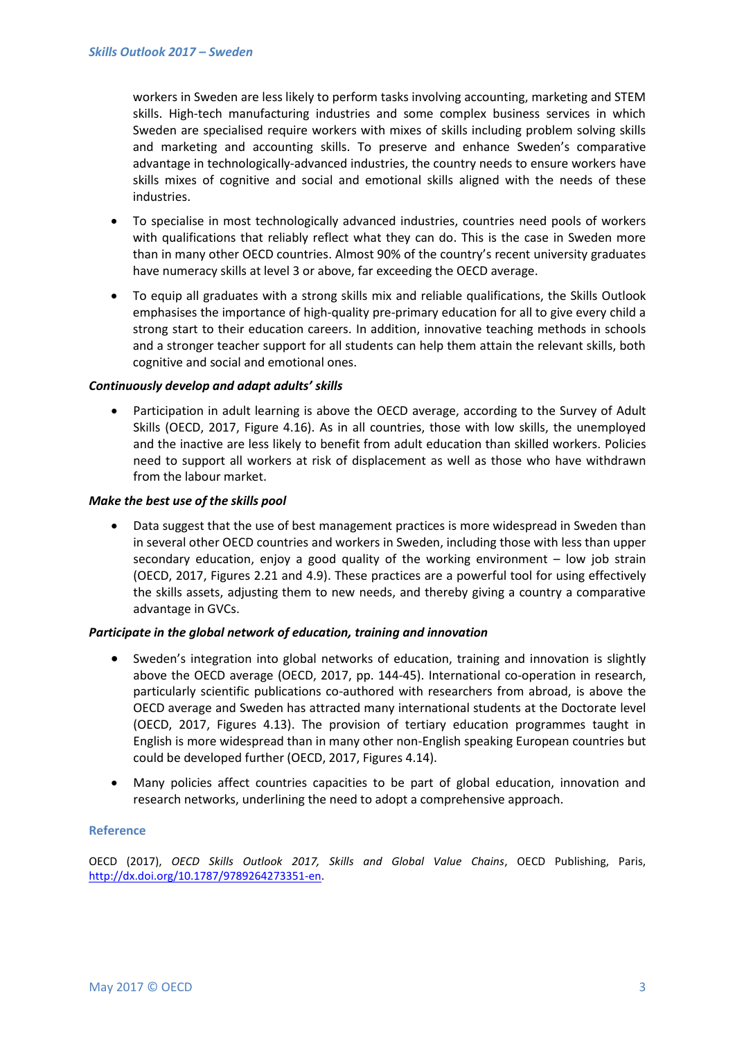workers in Sweden are less likely to perform tasks involving accounting, marketing and STEM skills. High-tech manufacturing industries and some complex business services in which Sweden are specialised require workers with mixes of skills including problem solving skills and marketing and accounting skills. To preserve and enhance Sweden's comparative advantage in technologically-advanced industries, the country needs to ensure workers have skills mixes of cognitive and social and emotional skills aligned with the needs of these industries.

- To specialise in most technologically advanced industries, countries need pools of workers with qualifications that reliably reflect what they can do. This is the case in Sweden more than in many other OECD countries. Almost 90% of the country's recent university graduates have numeracy skills at level 3 or above, far exceeding the OECD average.
- To equip all graduates with a strong skills mix and reliable qualifications, the Skills Outlook emphasises the importance of high-quality pre-primary education for all to give every child a strong start to their education careers. In addition, innovative teaching methods in schools and a stronger teacher support for all students can help them attain the relevant skills, both cognitive and social and emotional ones.

#### *Continuously develop and adapt adults' skills*

 Participation in adult learning is above the OECD average, according to the Survey of Adult Skills (OECD, 2017, Figure 4.16). As in all countries, those with low skills, the unemployed and the inactive are less likely to benefit from adult education than skilled workers. Policies need to support all workers at risk of displacement as well as those who have withdrawn from the labour market.

#### *Make the best use of the skills pool*

 Data suggest that the use of best management practices is more widespread in Sweden than in several other OECD countries and workers in Sweden, including those with less than upper secondary education, enjoy a good quality of the working environment – low job strain (OECD, 2017, Figures 2.21 and 4.9). These practices are a powerful tool for using effectively the skills assets, adjusting them to new needs, and thereby giving a country a comparative advantage in GVCs.

#### *Participate in the global network of education, training and innovation*

- Sweden's integration into global networks of education, training and innovation is slightly above the OECD average (OECD, 2017, pp. 144-45). International co-operation in research, particularly scientific publications co-authored with researchers from abroad, is above the OECD average and Sweden has attracted many international students at the Doctorate level (OECD, 2017, Figures 4.13). The provision of tertiary education programmes taught in English is more widespread than in many other non-English speaking European countries but could be developed further (OECD, 2017, Figures 4.14).
- Many policies affect countries capacities to be part of global education, innovation and research networks, underlining the need to adopt a comprehensive approach.

#### **Reference**

OECD (2017), *OECD Skills Outlook 2017, Skills and Global Value Chains*, OECD Publishing, Paris, [http://dx.doi.org/10.1787/9789264273351-en.](http://dx.doi.org/10.1787/9789264273351-en)